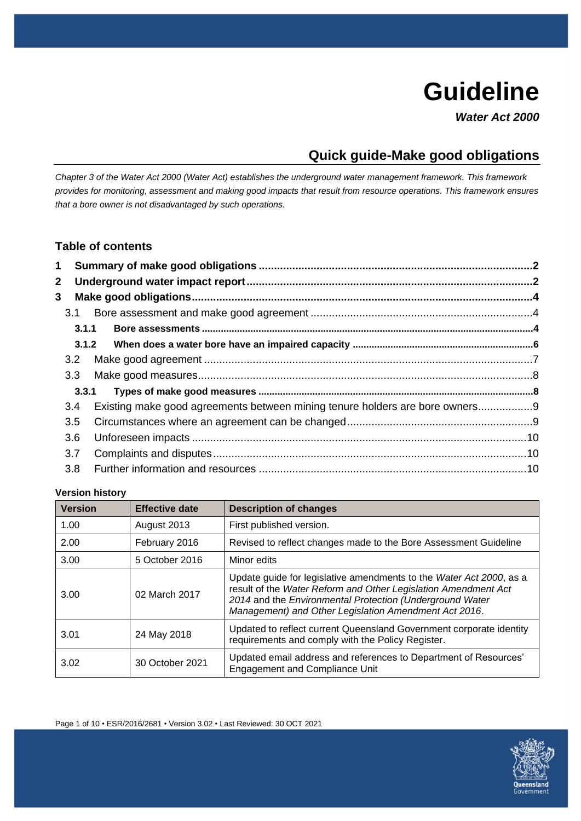# **Guideline**

*Water Act 2000*

## **Quick guide-Make good obligations**

*Chapter 3 of the Water Act 2000 (Water Act) establishes the underground water management framework. This framework provides for monitoring, assessment and making good impacts that result from resource operations. This framework ensures that a bore owner is not disadvantaged by such operations.*

## **Table of contents**

|  | 3.2<br>3.3 <sub>1</sub><br>3.4<br>3.5<br>3.6<br>3.7<br>3.8 | 3.1.1<br>3.3.1<br>Existing make good agreements between mining tenure holders are bore owners9 |  |  |
|--|------------------------------------------------------------|------------------------------------------------------------------------------------------------|--|--|

#### **Version history**

| <b>Version</b> | <b>Effective date</b> | <b>Description of changes</b>                                                                                                                                                                                                                              |
|----------------|-----------------------|------------------------------------------------------------------------------------------------------------------------------------------------------------------------------------------------------------------------------------------------------------|
| 1.00           | August 2013           | First published version.                                                                                                                                                                                                                                   |
| 2.00           | February 2016         | Revised to reflect changes made to the Bore Assessment Guideline                                                                                                                                                                                           |
| 3.00           | 5 October 2016        | Minor edits                                                                                                                                                                                                                                                |
| 3.00           | 02 March 2017         | Update guide for legislative amendments to the Water Act 2000, as a<br>result of the Water Reform and Other Legislation Amendment Act<br>2014 and the Environmental Protection (Underground Water<br>Management) and Other Legislation Amendment Act 2016. |
| 3.01           | 24 May 2018           | Updated to reflect current Queensland Government corporate identity<br>requirements and comply with the Policy Register.                                                                                                                                   |
| 3.02           | 30 October 2021       | Updated email address and references to Department of Resources'<br><b>Engagement and Compliance Unit</b>                                                                                                                                                  |

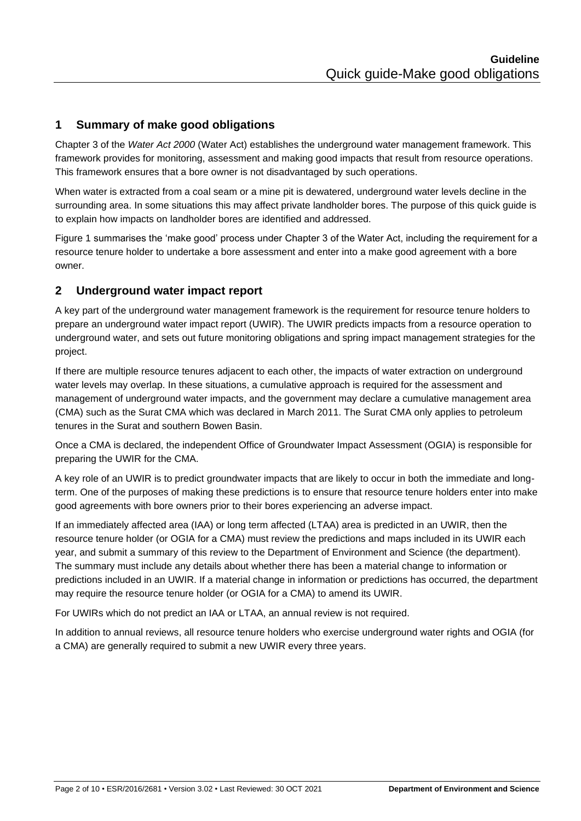## <span id="page-1-0"></span>**1 Summary of make good obligations**

Chapter 3 of the *Water Act 2000* (Water Act) establishes the underground water management framework. This framework provides for monitoring, assessment and making good impacts that result from resource operations. This framework ensures that a bore owner is not disadvantaged by such operations.

When water is extracted from a coal seam or a mine pit is dewatered, underground water levels decline in the surrounding area. In some situations this may affect private landholder bores. The purpose of this quick guide is to explain how impacts on landholder bores are identified and addressed.

Figure 1 summarises the 'make good' process under Chapter 3 of the Water Act, including the requirement for a resource tenure holder to undertake a bore assessment and enter into a make good agreement with a bore owner.

## <span id="page-1-1"></span>**2 Underground water impact report**

A key part of the underground water management framework is the requirement for resource tenure holders to prepare an underground water impact report (UWIR). The UWIR predicts impacts from a resource operation to underground water, and sets out future monitoring obligations and spring impact management strategies for the project.

If there are multiple resource tenures adjacent to each other, the impacts of water extraction on underground water levels may overlap. In these situations, a cumulative approach is required for the assessment and management of underground water impacts, and the government may declare a cumulative management area (CMA) such as the Surat CMA which was declared in March 2011. The Surat CMA only applies to petroleum tenures in the Surat and southern Bowen Basin.

Once a CMA is declared, the independent Office of Groundwater Impact Assessment (OGIA) is responsible for preparing the UWIR for the CMA.

A key role of an UWIR is to predict groundwater impacts that are likely to occur in both the immediate and longterm. One of the purposes of making these predictions is to ensure that resource tenure holders enter into make good agreements with bore owners prior to their bores experiencing an adverse impact.

If an immediately affected area (IAA) or long term affected (LTAA) area is predicted in an UWIR, then the resource tenure holder (or OGIA for a CMA) must review the predictions and maps included in its UWIR each year, and submit a summary of this review to the Department of Environment and Science (the department). The summary must include any details about whether there has been a material change to information or predictions included in an UWIR. If a material change in information or predictions has occurred, the department may require the resource tenure holder (or OGIA for a CMA) to amend its UWIR.

For UWIRs which do not predict an IAA or LTAA, an annual review is not required.

In addition to annual reviews, all resource tenure holders who exercise underground water rights and OGIA (for a CMA) are generally required to submit a new UWIR every three years.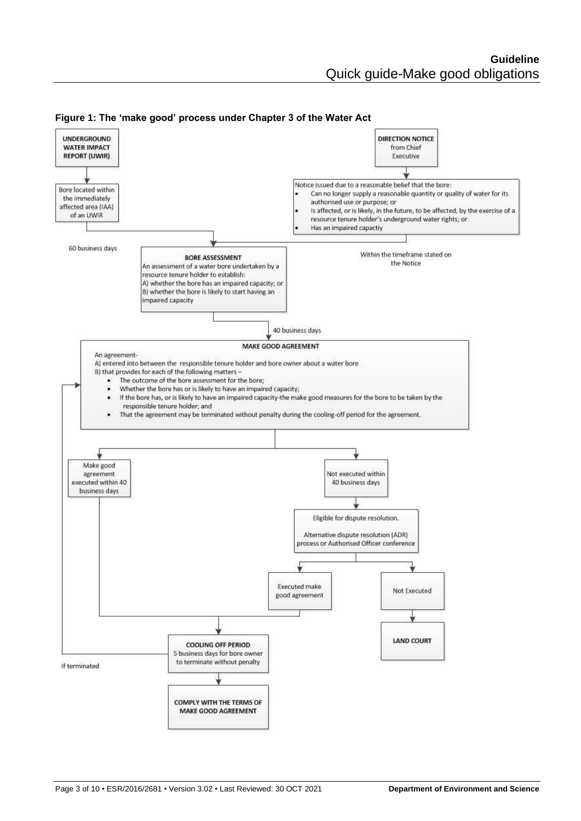

**Figure 1: The 'make good' process under Chapter 3 of the Water Act**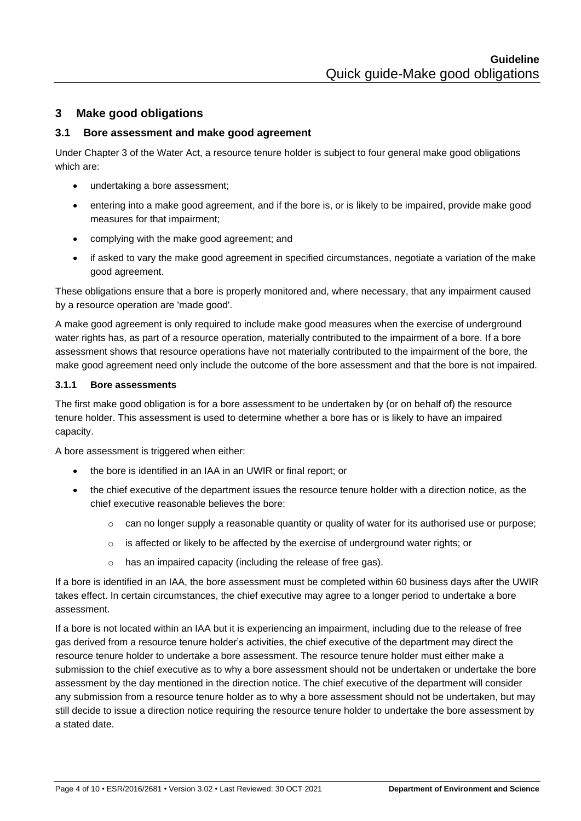## <span id="page-3-0"></span>**3 Make good obligations**

#### <span id="page-3-1"></span>**3.1 Bore assessment and make good agreement**

Under Chapter 3 of the Water Act, a resource tenure holder is subject to four general make good obligations which are:

- undertaking a bore assessment;
- entering into a make good agreement, and if the bore is, or is likely to be impaired, provide make good measures for that impairment;
- complying with the make good agreement; and
- if asked to vary the make good agreement in specified circumstances, negotiate a variation of the make good agreement.

These obligations ensure that a bore is properly monitored and, where necessary, that any impairment caused by a resource operation are 'made good'.

A make good agreement is only required to include make good measures when the exercise of underground water rights has, as part of a resource operation, materially contributed to the impairment of a bore. If a bore assessment shows that resource operations have not materially contributed to the impairment of the bore, the make good agreement need only include the outcome of the bore assessment and that the bore is not impaired.

#### <span id="page-3-2"></span>**3.1.1 Bore assessments**

The first make good obligation is for a bore assessment to be undertaken by (or on behalf of) the resource tenure holder. This assessment is used to determine whether a bore has or is likely to have an impaired capacity.

A bore assessment is triggered when either:

- the bore is identified in an IAA in an UWIR or final report; or
- the chief executive of the department issues the resource tenure holder with a direction notice, as the chief executive reasonable believes the bore:
	- $\circ$  can no longer supply a reasonable quantity or quality of water for its authorised use or purpose;
	- $\circ$  is affected or likely to be affected by the exercise of underground water rights; or
	- o has an impaired capacity (including the release of free gas).

If a bore is identified in an IAA, the bore assessment must be completed within 60 business days after the UWIR takes effect. In certain circumstances, the chief executive may agree to a longer period to undertake a bore assessment.

If a bore is not located within an IAA but it is experiencing an impairment, including due to the release of free gas derived from a resource tenure holder's activities, the chief executive of the department may direct the resource tenure holder to undertake a bore assessment. The resource tenure holder must either make a submission to the chief executive as to why a bore assessment should not be undertaken or undertake the bore assessment by the day mentioned in the direction notice. The chief executive of the department will consider any submission from a resource tenure holder as to why a bore assessment should not be undertaken, but may still decide to issue a direction notice requiring the resource tenure holder to undertake the bore assessment by a stated date.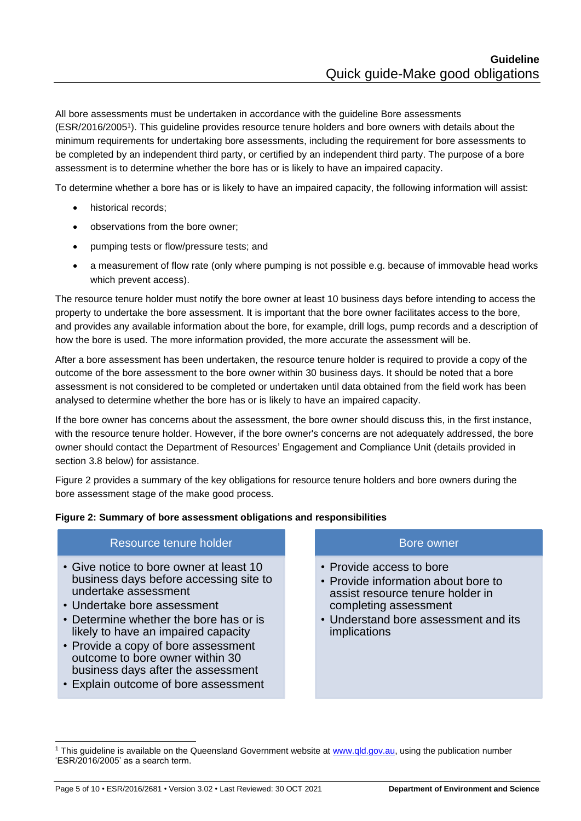All bore assessments must be undertaken in accordance with the guideline Bore assessments (ESR/2016/2005<sup>1</sup> ). This guideline provides resource tenure holders and bore owners with details about the minimum requirements for undertaking bore assessments, including the requirement for bore assessments to be completed by an independent third party, or certified by an independent third party. The purpose of a bore assessment is to determine whether the bore has or is likely to have an impaired capacity.

To determine whether a bore has or is likely to have an impaired capacity, the following information will assist:

- historical records;
- observations from the bore owner;
- pumping tests or flow/pressure tests; and
- a measurement of flow rate (only where pumping is not possible e.g. because of immovable head works which prevent access).

The resource tenure holder must notify the bore owner at least 10 business days before intending to access the property to undertake the bore assessment. It is important that the bore owner facilitates access to the bore, and provides any available information about the bore, for example, drill logs, pump records and a description of how the bore is used. The more information provided, the more accurate the assessment will be.

After a bore assessment has been undertaken, the resource tenure holder is required to provide a copy of the outcome of the bore assessment to the bore owner within 30 business days. It should be noted that a bore assessment is not considered to be completed or undertaken until data obtained from the field work has been analysed to determine whether the bore has or is likely to have an impaired capacity.

If the bore owner has concerns about the assessment, the bore owner should discuss this, in the first instance, with the resource tenure holder. However, if the bore owner's concerns are not adequately addressed, the bore owner should contact the Department of Resources' Engagement and Compliance Unit (details provided in section 3.8 below) for assistance.

Figure 2 provides a summary of the key obligations for resource tenure holders and bore owners during the bore assessment stage of the make good process.

#### **Figure 2: Summary of bore assessment obligations and responsibilities**

| Resource tenure holder                                                                                                                                                                                                    | Bore owner                                                                                                                                                                           |  |
|---------------------------------------------------------------------------------------------------------------------------------------------------------------------------------------------------------------------------|--------------------------------------------------------------------------------------------------------------------------------------------------------------------------------------|--|
| • Give notice to bore owner at least 10<br>business days before accessing site to<br>undertake assessment<br>• Undertake bore assessment<br>• Determine whether the bore has or is<br>likely to have an impaired capacity | • Provide access to bore<br>• Provide information about bore to<br>assist resource tenure holder in<br>completing assessment<br>• Understand bore assessment and its<br>implications |  |
| • Provide a copy of bore assessment<br>outcome to bore owner within 30<br>business days after the assessment<br>• Explain outcome of bore assessment                                                                      |                                                                                                                                                                                      |  |

<sup>&</sup>lt;sup>1</sup> This guideline is available on the Queensland Government website at [www.qld.gov.au,](http://www.qld.gov.au/) using the publication number 'ESR/2016/2005' as a search term.

Page 5 of 10 • ESR/2016/2681 • Version 3.02 • Last Reviewed: 30 OCT 2021 **Department of Environment and Science**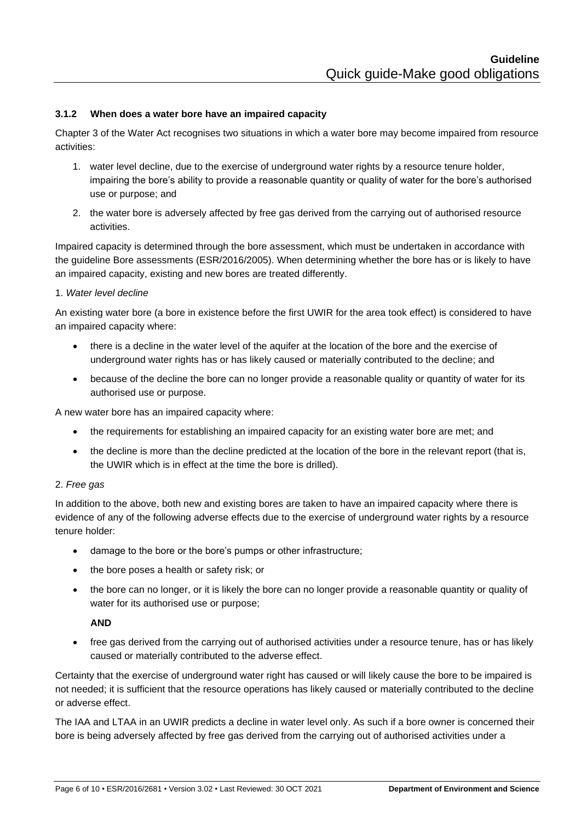#### <span id="page-5-0"></span>**3.1.2 When does a water bore have an impaired capacity**

Chapter 3 of the Water Act recognises two situations in which a water bore may become impaired from resource activities:

- 1. water level decline, due to the exercise of underground water rights by a resource tenure holder, impairing the bore's ability to provide a reasonable quantity or quality of water for the bore's authorised use or purpose; and
- 2. the water bore is adversely affected by free gas derived from the carrying out of authorised resource activities.

Impaired capacity is determined through the bore assessment, which must be undertaken in accordance with the guideline Bore assessments (ESR/2016/2005). When determining whether the bore has or is likely to have an impaired capacity, existing and new bores are treated differently.

#### 1. *Water level decline*

An existing water bore (a bore in existence before the first UWIR for the area took effect) is considered to have an impaired capacity where:

- there is a decline in the water level of the aquifer at the location of the bore and the exercise of underground water rights has or has likely caused or materially contributed to the decline; and
- because of the decline the bore can no longer provide a reasonable quality or quantity of water for its authorised use or purpose.

A new water bore has an impaired capacity where:

- the requirements for establishing an impaired capacity for an existing water bore are met; and
- the decline is more than the decline predicted at the location of the bore in the relevant report (that is, the UWIR which is in effect at the time the bore is drilled).

#### 2. *Free gas*

In addition to the above, both new and existing bores are taken to have an impaired capacity where there is evidence of any of the following adverse effects due to the exercise of underground water rights by a resource tenure holder:

- damage to the bore or the bore's pumps or other infrastructure;
- the bore poses a health or safety risk; or
- the bore can no longer, or it is likely the bore can no longer provide a reasonable quantity or quality of water for its authorised use or purpose;

#### **AND**

• free gas derived from the carrying out of authorised activities under a resource tenure, has or has likely caused or materially contributed to the adverse effect.

Certainty that the exercise of underground water right has caused or will likely cause the bore to be impaired is not needed; it is sufficient that the resource operations has likely caused or materially contributed to the decline or adverse effect.

The IAA and LTAA in an UWIR predicts a decline in water level only. As such if a bore owner is concerned their bore is being adversely affected by free gas derived from the carrying out of authorised activities under a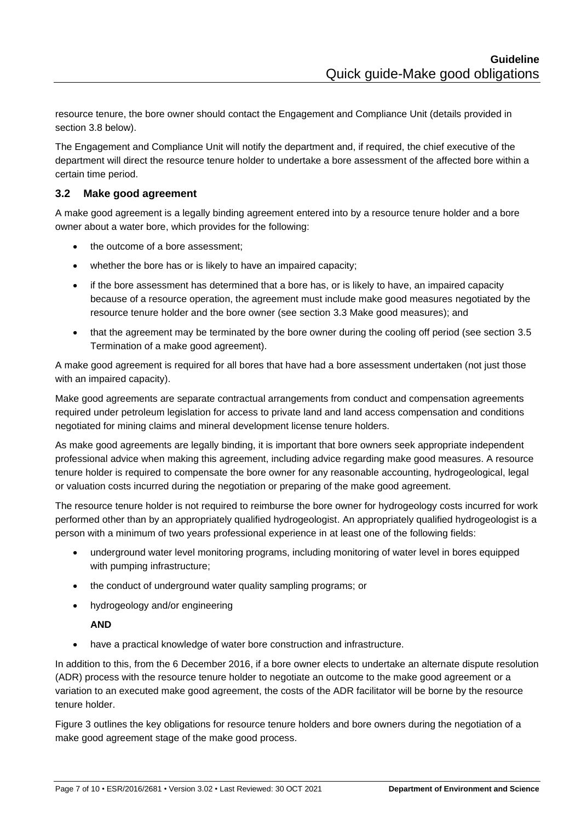resource tenure, the bore owner should contact the Engagement and Compliance Unit (details provided in section 3.8 below).

The Engagement and Compliance Unit will notify the department and, if required, the chief executive of the department will direct the resource tenure holder to undertake a bore assessment of the affected bore within a certain time period.

## <span id="page-6-0"></span>**3.2 Make good agreement**

A make good agreement is a legally binding agreement entered into by a resource tenure holder and a bore owner about a water bore, which provides for the following:

- the outcome of a bore assessment;
- whether the bore has or is likely to have an impaired capacity;
- if the bore assessment has determined that a bore has, or is likely to have, an impaired capacity because of a resource operation, the agreement must include make good measures negotiated by the resource tenure holder and the bore owner (see section 3.3 Make good measures); and
- that the agreement may be terminated by the bore owner during the cooling off period (see section 3.5 Termination of a make good agreement).

A make good agreement is required for all bores that have had a bore assessment undertaken (not just those with an impaired capacity).

Make good agreements are separate contractual arrangements from conduct and compensation agreements required under petroleum legislation for access to private land and land access compensation and conditions negotiated for mining claims and mineral development license tenure holders.

As make good agreements are legally binding, it is important that bore owners seek appropriate independent professional advice when making this agreement, including advice regarding make good measures. A resource tenure holder is required to compensate the bore owner for any reasonable accounting, hydrogeological, legal or valuation costs incurred during the negotiation or preparing of the make good agreement.

The resource tenure holder is not required to reimburse the bore owner for hydrogeology costs incurred for work performed other than by an appropriately qualified hydrogeologist. An appropriately qualified hydrogeologist is a person with a minimum of two years professional experience in at least one of the following fields:

- underground water level monitoring programs, including monitoring of water level in bores equipped with pumping infrastructure;
- the conduct of underground water quality sampling programs; or
- hydrogeology and/or engineering

#### **AND**

• have a practical knowledge of water bore construction and infrastructure.

In addition to this, from the 6 December 2016, if a bore owner elects to undertake an alternate dispute resolution (ADR) process with the resource tenure holder to negotiate an outcome to the make good agreement or a variation to an executed make good agreement, the costs of the ADR facilitator will be borne by the resource tenure holder.

Figure 3 outlines the key obligations for resource tenure holders and bore owners during the negotiation of a make good agreement stage of the make good process.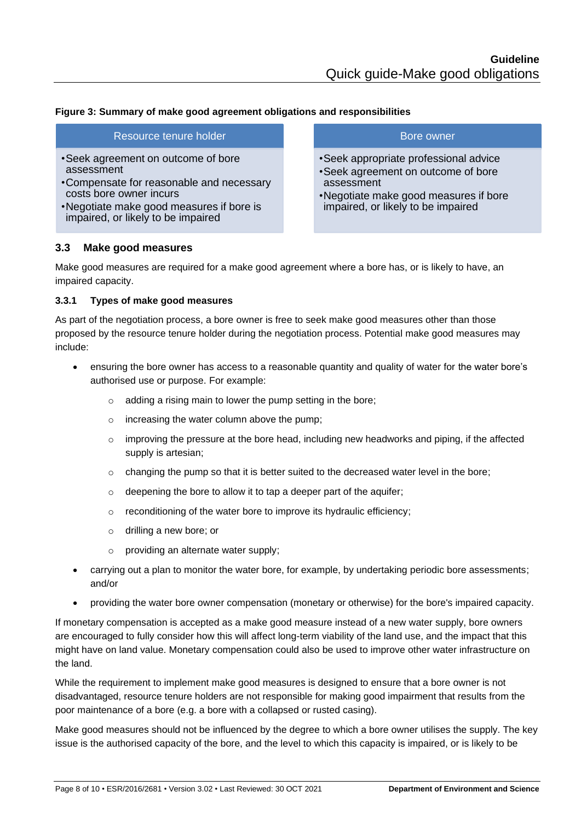#### **Figure 3: Summary of make good agreement obligations and responsibilities**

#### Resource tenure holder

- •Seek agreement on outcome of bore assessment
- •Compensate for reasonable and necessary costs bore owner incurs
- •Negotiate make good measures if bore is impaired, or likely to be impaired

#### Bore owner

- •Seek appropriate professional advice
- •Seek agreement on outcome of bore assessment
- •Negotiate make good measures if bore impaired, or likely to be impaired

#### <span id="page-7-0"></span>**3.3 Make good measures**

Make good measures are required for a make good agreement where a bore has, or is likely to have, an impaired capacity.

#### <span id="page-7-1"></span>**3.3.1 Types of make good measures**

As part of the negotiation process, a bore owner is free to seek make good measures other than those proposed by the resource tenure holder during the negotiation process. Potential make good measures may include:

- ensuring the bore owner has access to a reasonable quantity and quality of water for the water bore's authorised use or purpose. For example:
	- o adding a rising main to lower the pump setting in the bore;
	- o increasing the water column above the pump;
	- $\circ$  improving the pressure at the bore head, including new headworks and piping, if the affected supply is artesian;
	- $\circ$  changing the pump so that it is better suited to the decreased water level in the bore;
	- o deepening the bore to allow it to tap a deeper part of the aquifer;
	- o reconditioning of the water bore to improve its hydraulic efficiency;
	- o drilling a new bore; or
	- o providing an alternate water supply;
- carrying out a plan to monitor the water bore, for example, by undertaking periodic bore assessments; and/or
- providing the water bore owner compensation (monetary or otherwise) for the bore's impaired capacity.

If monetary compensation is accepted as a make good measure instead of a new water supply, bore owners are encouraged to fully consider how this will affect long-term viability of the land use, and the impact that this might have on land value. Monetary compensation could also be used to improve other water infrastructure on the land.

While the requirement to implement make good measures is designed to ensure that a bore owner is not disadvantaged, resource tenure holders are not responsible for making good impairment that results from the poor maintenance of a bore (e.g. a bore with a collapsed or rusted casing).

Make good measures should not be influenced by the degree to which a bore owner utilises the supply. The key issue is the authorised capacity of the bore, and the level to which this capacity is impaired, or is likely to be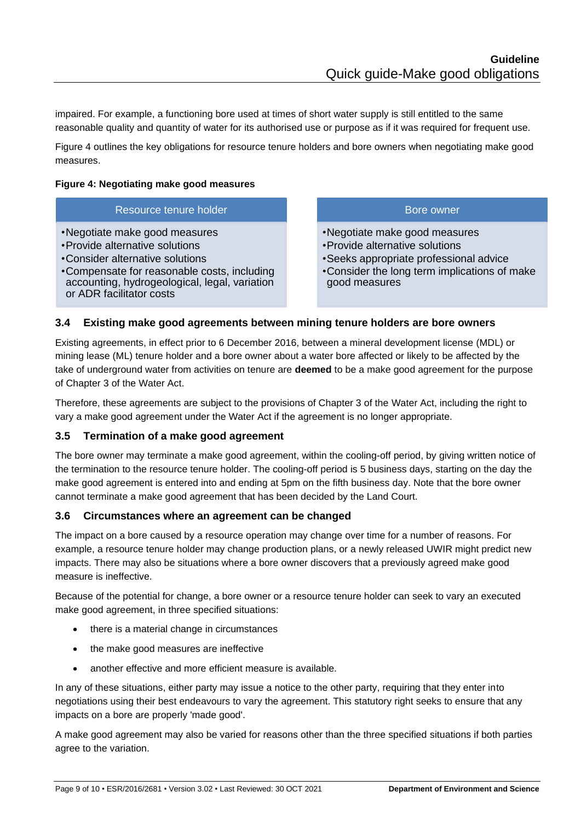impaired. For example, a functioning bore used at times of short water supply is still entitled to the same reasonable quality and quantity of water for its authorised use or purpose as if it was required for frequent use.

Figure 4 outlines the key obligations for resource tenure holders and bore owners when negotiating make good measures.

#### **Figure 4: Negotiating make good measures**

#### Resource tenure holder

- •Negotiate make good measures
- •Provide alternative solutions
- •Consider alternative solutions
- •Compensate for reasonable costs, including accounting, hydrogeological, legal, variation or ADR facilitator costs

#### Bore owner

- •Negotiate make good measures
- •Provide alternative solutions
- •Seeks appropriate professional advice
- •Consider the long term implications of make good measures

#### <span id="page-8-0"></span>**3.4 Existing make good agreements between mining tenure holders are bore owners**

Existing agreements, in effect prior to 6 December 2016, between a mineral development license (MDL) or mining lease (ML) tenure holder and a bore owner about a water bore affected or likely to be affected by the take of underground water from activities on tenure are **deemed** to be a make good agreement for the purpose of Chapter 3 of the Water Act.

Therefore, these agreements are subject to the provisions of Chapter 3 of the Water Act, including the right to vary a make good agreement under the Water Act if the agreement is no longer appropriate.

#### <span id="page-8-1"></span>**3.5 Termination of a make good agreement**

The bore owner may terminate a make good agreement, within the cooling-off period, by giving written notice of the termination to the resource tenure holder. The cooling-off period is 5 business days, starting on the day the make good agreement is entered into and ending at 5pm on the fifth business day. Note that the bore owner cannot terminate a make good agreement that has been decided by the Land Court.

#### **3.6 Circumstances where an agreement can be changed**

The impact on a bore caused by a resource operation may change over time for a number of reasons. For example, a resource tenure holder may change production plans, or a newly released UWIR might predict new impacts. There may also be situations where a bore owner discovers that a previously agreed make good measure is ineffective.

Because of the potential for change, a bore owner or a resource tenure holder can seek to vary an executed make good agreement, in three specified situations:

- there is a material change in circumstances
- the make good measures are ineffective
- another effective and more efficient measure is available.

In any of these situations, either party may issue a notice to the other party, requiring that they enter into negotiations using their best endeavours to vary the agreement. This statutory right seeks to ensure that any impacts on a bore are properly 'made good'.

A make good agreement may also be varied for reasons other than the three specified situations if both parties agree to the variation.